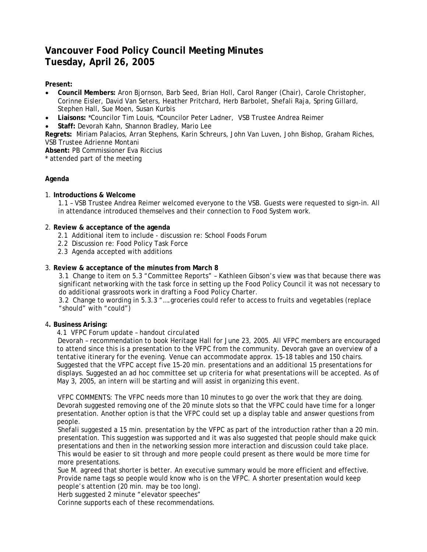# **Vancouver Food Policy Council Meeting Minutes Tuesday, April 26, 2005**

## **Present:**

- **Council Members:** Aron Bjornson, Barb Seed, Brian Holl, Carol Ranger (Chair), Carole Christopher, Corinne Eisler, David Van Seters, Heather Pritchard, Herb Barbolet, Shefali Raja, Spring Gillard, Stephen Hall, Sue Moen, Susan Kurbis
- **Liaisons:** \*Councilor Tim Louis, \*Councilor Peter Ladner, VSB Trustee Andrea Reimer
- **Staff:** Devorah Kahn, Shannon Bradley, Mario Lee

**Regrets:** Miriam Palacios, Arran Stephens, Karin Schreurs, John Van Luven, John Bishop, Graham Riches, VSB Trustee Adrienne Montani

**Absent:** PB Commissioner Eva Riccius

\* attended part of the meeting

# **Agenda**

## 1. **Introductions & Welcome**

1.1 – VSB Trustee Andrea Reimer welcomed everyone to the VSB. Guests were requested to sign-in. All in attendance introduced themselves and their connection to Food System work.

#### 2. **Review & acceptance of the agenda**

- 2.1 Additional item to include discussion re: School Foods Forum
- 2.2 Discussion re: Food Policy Task Force
- 2.3 Agenda accepted with additions

## 3. **Review & acceptance of the minutes from March 8**

3.1 Change to item on 5.3 "Committee Reports" – Kathleen Gibson's view was that because there was significant networking with the task force in setting up the Food Policy Council it was not necessary to do *additional* grassroots work in drafting a Food Policy Charter.

3.2 Change to wording in 5.3.3 "….groceries *could* refer to access to fruits and vegetables (replace "should" with "could")

## 4**. Business Arising:**

## *4.1 VFPC Forum update – handout circulated*

Devorah – recommendation to book Heritage Hall for June 23, 2005. All VFPC members are encouraged to attend since this is a presentation to the VFPC from the community. Devorah gave an overview of a tentative itinerary for the evening. Venue can accommodate approx. 15-18 tables and 150 chairs. Suggested that the VFPC accept five 15-20 min. presentations and an additional 15 presentations for displays. Suggested an ad hoc committee set up criteria for what presentations will be accepted. As of May 3, 2005, an intern will be starting and will assist in organizing this event.

VFPC COMMENTS: The VFPC needs more than 10 minutes to go over the work that they are doing. Devorah suggested removing one of the 20 minute slots so that the VFPC could have time for a longer presentation. Another option is that the VFPC could set up a display table and answer questions from people.

Shefali suggested a 15 min. presentation by the VFPC as part of the introduction rather than a 20 min. presentation. This suggestion was supported and it was also suggested that people should make quick presentations and then in the networking session more interaction and discussion could take place. This would be easier to sit through and more people could present as there would be more time for more presentations.

Sue M. agreed that shorter is better. An executive summary would be more efficient and effective. Provide name tags so people would know who is on the VFPC. A shorter presentation would keep people's attention (20 min. may be too long).

Herb suggested 2 minute "elevator speeches"

Corinne supports each of these recommendations.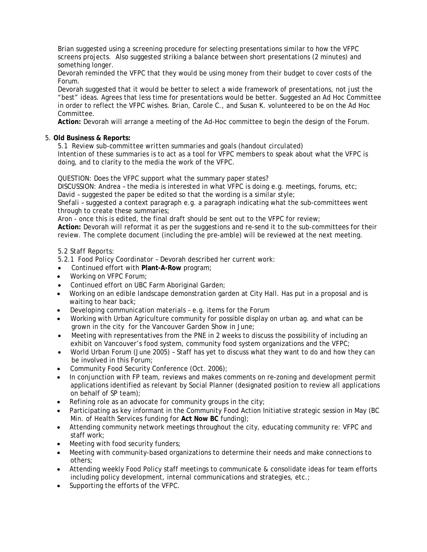Brian suggested using a screening procedure for selecting presentations similar to how the VFPC screens projects. Also suggested striking a balance between short presentations (2 minutes) and something longer.

Devorah reminded the VFPC that they would be using money from their budget to cover costs of the Forum.

Devorah suggested that it would be better to select a wide framework of presentations, not just the "best" ideas. Agrees that less time for presentations would be better. Suggested an Ad Hoc Committee in order to reflect the VFPC wishes. Brian, Carole C., and Susan K. volunteered to be on the Ad Hoc Committee.

**Action:** Devorah will arrange a meeting of the Ad-Hoc committee to begin the design of the Forum.

#### 5. **Old Business & Reports:**

*5.1 Review sub-committee written summaries and goals (handout circulated)*  Intention of these summaries is to act as a tool for VFPC members to speak about what the VFPC is doing, and to clarity to the media the work of the VFPC.

QUESTION: Does the VFPC support what the summary paper states?

DISCUSSION: Andrea – the media is interested in what VFPC is doing e.g. meetings, forums, etc; David – suggested the paper be edited so that the wording is a similar style;

Shefali – suggested a context paragraph e.g. a paragraph indicating what the sub-committees went through to create these summaries;

Aron - once this is edited, the final draft should be sent out to the VFPC for review;

**Action:** Devorah will reformat it as per the suggestions and re-send it to the sub-committees for their review. The complete document (including the pre-amble) will be reviewed at the next meeting.

#### *5.2 Staff Reports:*

*5.2.1 Food Policy Coordinator –* Devorah described her current work:

- Continued effort with **Plant-A-Row** program;
- Working on VFPC Forum;
- Continued effort on UBC Farm Aboriginal Garden;
- Working on an edible landscape demonstration garden at City Hall. Has put in a proposal and is waiting to hear back;
- Developing communication materials e.g. items for the Forum
- Working with Urban Agriculture community for possible display on urban ag. and what can be grown in the city for the Vancouver Garden Show in June;
- Meeting with representatives from the PNE in 2 weeks to discuss the possibility of including an exhibit on Vancouver's food system, community food system organizations and the VFPC;
- World Urban Forum (June 2005) Staff has yet to discuss what they want to do and how they can be involved in this Forum;
- Community Food Security Conference (Oct. 2006);
- In conjunction with FP team, reviews and makes comments on re-zoning and development permit applications identified as relevant by Social Planner (designated position to review all applications on behalf of SP team);
- Refining role as an advocate for community groups in the city;
- Participating as key informant in the Community Food Action Initiative strategic session in May (BC Min. of Health Services funding for **Act Now BC** funding);
- Attending community network meetings throughout the city, educating community re: VFPC and staff work;
- Meeting with food security funders;
- Meeting with community-based organizations to determine their needs and make connections to others;
- Attending weekly Food Policy staff meetings to communicate & consolidate ideas for team efforts including policy development, internal communications and strategies, etc.;
- Supporting the efforts of the VFPC.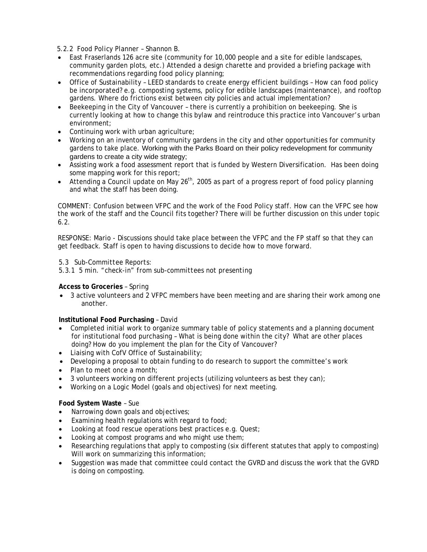## *5.2.2 Food Policy Planner – Shannon B.*

- East Fraserlands 126 acre site (community for 10,000 people and a site for edible landscapes, community garden plots, etc.) Attended a design charette and provided a briefing package with recommendations regarding food policy planning;
- Office of Sustainability LEED standards to create energy efficient buildings How can food policy be incorporated? e.g. composting systems, policy for edible landscapes (maintenance), and rooftop gardens. Where do frictions exist between city policies and actual implementation?
- Beekeeping in the City of Vancouver there is currently a prohibition on beekeeping. She is currently looking at how to change this bylaw and reintroduce this practice into Vancouver's urban environment;
- Continuing work with urban agriculture;
- Working on an inventory of community gardens in the city and other opportunities for community gardens to take place. Working with the Parks Board on their policy redevelopment for community gardens to create a city wide strategy;
- Assisting work a food assessment report that is funded by Western Diversification. Has been doing some mapping work for this report;
- Attending a Council update on May 26<sup>th</sup>, 2005 as part of a progress report of food policy planning and what the staff has been doing.

COMMENT: Confusion between VFPC and the work of the Food Policy staff. How can the VFPC see how the work of the staff and the Council fits together? There will be further discussion on this under topic 6.2.

RESPONSE: Mario - Discussions should take place between the VFPC and the FP staff so that they can get feedback. Staff is open to having discussions to decide how to move forward.

# *5.3 Sub-Committee Reports*:

*5.3.1 5 min. "check-in" from sub-committees not presenting*

## **Access to Groceries** – Spring

• 3 active volunteers and 2 VFPC members have been meeting and are sharing their work among one another.

#### **Institutional Food Purchasing** – David

- Completed initial work to organize summary table of policy statements and a planning document for institutional food purchasing – What is being done within the city? What are other places doing? How do you implement the plan for the City of Vancouver?
- Liaising with CofV Office of Sustainability;
- Developing a proposal to obtain funding to do research to support the committee's work
- Plan to meet once a month:
- 3 volunteers working on different projects (utilizing volunteers as best they can);
- Working on a Logic Model (goals and objectives) for next meeting.

#### **Food System Waste** – Sue

- Narrowing down goals and objectives;
- Examining health regulations with regard to food;
- Looking at food rescue operations best practices e.g. Quest;
- Looking at compost programs and who might use them;
- Researching regulations that apply to composting (six different statutes that apply to composting) Will work on summarizing this information;
- Suggestion was made that committee could contact the GVRD and discuss the work that the GVRD is doing on composting.